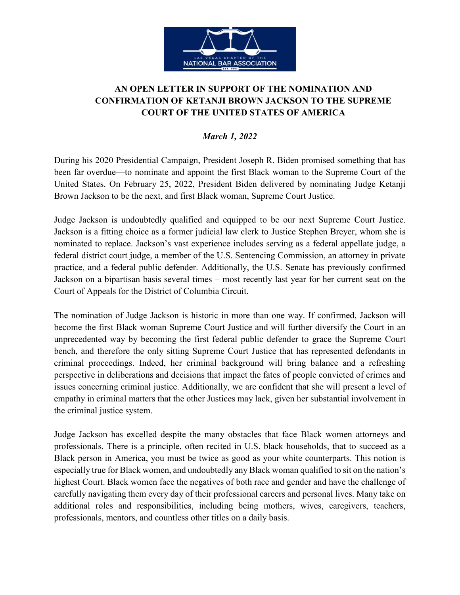

## **AN OPEN LETTER IN SUPPORT OF THE NOMINATION AND CONFIRMATION OF KETANJI BROWN JACKSON TO THE SUPREME COURT OF THE UNITED STATES OF AMERICA**

## *March 1, 2022*

During his 2020 Presidential Campaign, President Joseph R. Biden promised something that has been far overdue—to nominate and appoint the first Black woman to the Supreme Court of the United States. On February 25, 2022, President Biden delivered by nominating Judge Ketanji Brown Jackson to be the next, and first Black woman, Supreme Court Justice.

Judge Jackson is undoubtedly qualified and equipped to be our next Supreme Court Justice. Jackson is a fitting choice as a former judicial law clerk to Justice Stephen Breyer, whom she is nominated to replace. Jackson's vast experience includes serving as a federal appellate judge, a federal district court judge, a member of the U.S. Sentencing Commission, an attorney in private practice, and a federal public defender. Additionally, the U.S. Senate has previously confirmed Jackson on a bipartisan basis several times – most recently last year for her current seat on the Court of Appeals for the District of Columbia Circuit.

The nomination of Judge Jackson is historic in more than one way. If confirmed, Jackson will become the first Black woman Supreme Court Justice and will further diversify the Court in an unprecedented way by becoming the first federal public defender to grace the Supreme Court bench, and therefore the only sitting Supreme Court Justice that has represented defendants in criminal proceedings. Indeed, her criminal background will bring balance and a refreshing perspective in deliberations and decisions that impact the fates of people convicted of crimes and issues concerning criminal justice. Additionally, we are confident that she will present a level of empathy in criminal matters that the other Justices may lack, given her substantial involvement in the criminal justice system.

Judge Jackson has excelled despite the many obstacles that face Black women attorneys and professionals. There is a principle, often recited in U.S. black households, that to succeed as a Black person in America, you must be twice as good as your white counterparts. This notion is especially true for Black women, and undoubtedly any Black woman qualified to sit on the nation's highest Court. Black women face the negatives of both race and gender and have the challenge of carefully navigating them every day of their professional careers and personal lives. Many take on additional roles and responsibilities, including being mothers, wives, caregivers, teachers, professionals, mentors, and countless other titles on a daily basis.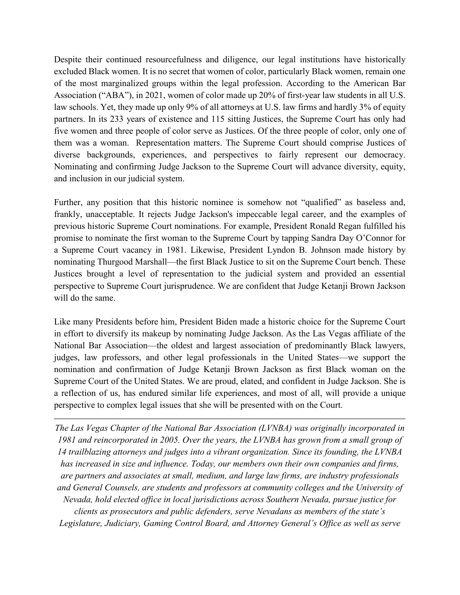Despite their continued resourcefulness and diligence, our legal institutions have historically excluded Black women. It is no secret that women of color, particularly Black women, remain one of the most marginalized groups within the legal profession. According to the American Bar Association ("ABA"), in 2021, women of color made up 20% of first-year law students in all U.S. law schools. Yet, they made up only 9% of all attorneys at U.S. law firms and hardly 3% of equity partners. In its 233 years of existence and 115 sitting Justices, the Supreme Court has only had five women and three people of color serve as Justices. Of the three people of color, only one of them was a woman. Representation matters. The Supreme Court should comprise Justices of diverse backgrounds, experiences, and perspectives to fairly represent our democracy. Nominating and confirming Judge Jackson to the Supreme Court will advance diversity, equity, and inclusion in our judicial system.

Further, any position that this historic nominee is somehow not "qualified" as baseless and, frankly, unacceptable. It rejects Judge Jackson's impeccable legal career, and the examples of previous historic Supreme Court nominations. For example, President Ronald Regan fulfilled his promise to nominate the first woman to the Supreme Court by tapping Sandra Day O'Connor for a Supreme Court vacancy in 1981. Likewise, President Lyndon B. Johnson made history by nominating Thurgood Marshall—the first Black Justice to sit on the Supreme Court bench. These Justices brought a level of representation to the judicial system and provided an essential perspective to Supreme Court jurisprudence. We are confident that Judge Ketanji Brown Jackson will do the same.

Like many Presidents before him, President Biden made a historic choice for the Supreme Court in effort to diversify its makeup by nominating Judge Jackson. As the Las Vegas affiliate of the National Bar Association—the oldest and largest association of predominantly Black lawyers, judges, law professors, and other legal professionals in the United States—we support the nomination and confirmation of Judge Ketanji Brown Jackson as first Black woman on the Supreme Court of the United States. We are proud, elated, and confident in Judge Jackson. She is a reflection of us, has endured similar life experiences, and most of all, will provide a unique perspective to complex legal issues that she will be presented with on the Court.

*The Las Vegas Chapter of the National Bar Association (LVNBA) was originally incorporated in 1981 and reincorporated in 2005. Over the years, the LVNBA has grown from a small group of 14 trailblazing attorneys and judges into a vibrant organization. Since its founding, the LVNBA has increased in size and influence. Today, our members own their own companies and firms, are partners and associates at small, medium, and large law firms, are industry professionals and General Counsels, are students and professors at community colleges and the University of Nevada, hold elected office in local jurisdictions across Southern Nevada, pursue justice for clients as prosecutors and public defenders, serve Nevadans as members of the state's Legislature, Judiciary, Gaming Control Board, and Attorney General's Office as well as serve*